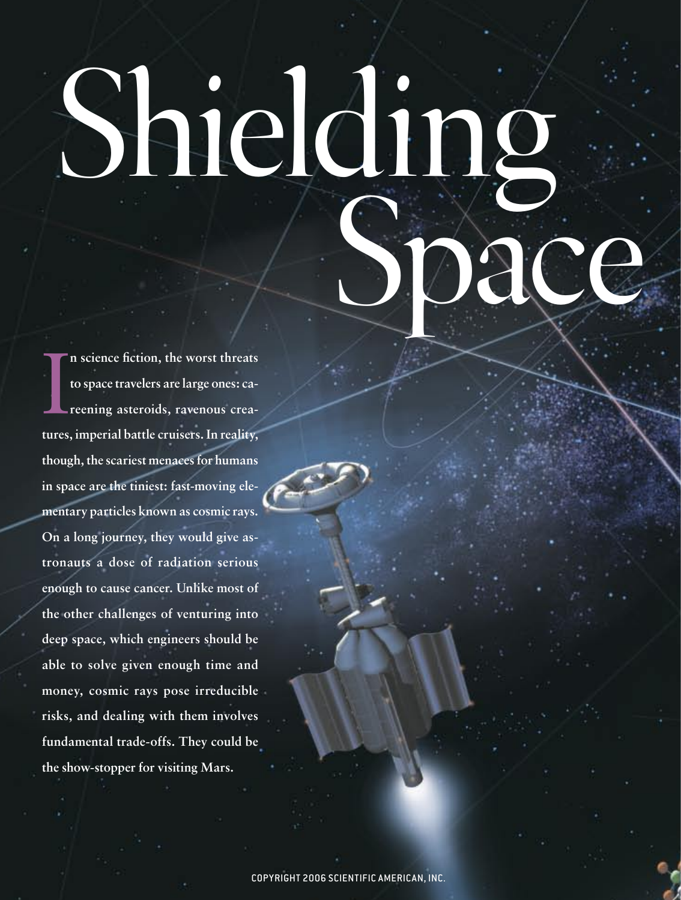# Shielding Space

I **n science fiction, the worst threats to space travelers are large ones: careening asteroids, ravenous creatures, imperial battle cruisers. In reality, though, the scariest menaces for humans in space are the tiniest: fast-moving elementary particles known as cosmic rays. On a long journey, they would give astronauts a dose of radiation serious enough to cause cancer. Unlike most of the other challenges of venturing into deep space, which engineers should be able to solve given enough time and money, cosmic rays pose irreducible risks, and dealing with them involves fundamental trade-offs. They could be the show-stopper for visiting Mars.**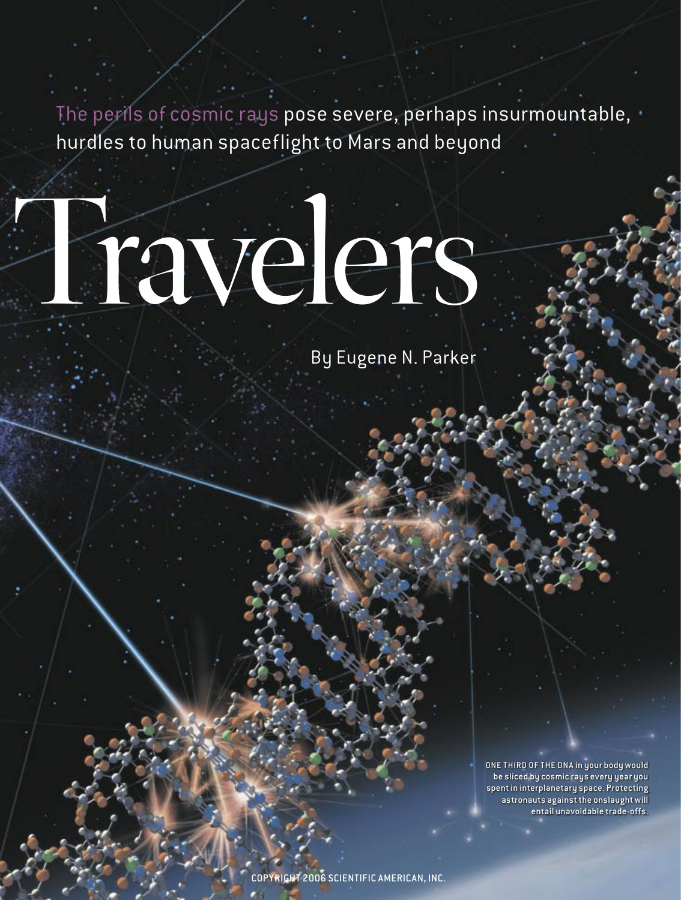The perils of cosmic rays pose severe, perhaps insurmountable, . hurdles to human spaceflight to Mars and beyond

# Space Travelers

By Eugene N. Parker

ONE THIRD OF THE DNA in your body would be sliced by cosmic rays every year you spent in interplanetary space. Protecting astronauts against the onslaught will entail unavoidable trade-offs.

 $w \sim \frac{1}{2}$  and  $w \sim \frac{1}{2}$  in  $\frac{1}{2}$  in  $\frac{1}{2}$  in  $\frac{1}{2}$  in  $\frac{1}{2}$  in  $\frac{1}{2}$  in  $\frac{1}{2}$ COPYRIGHT 2006 SCIENTIFIC AMERICAN, INC.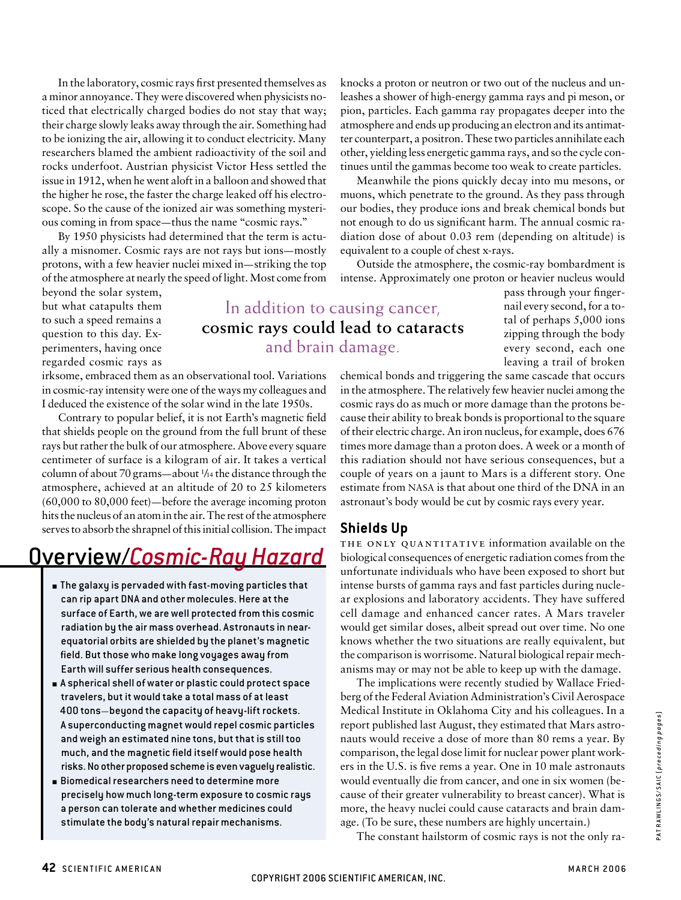In the laboratory, cosmic rays first presented themselves as a minor annoyance. They were discovered when physicists noticed that electrically charged bodies do not stay that way; their charge slowly leaks away through the air. Something had to be ionizing the air, allowing it to conduct electricity. Many researchers blamed the ambient radioactivity of the soil and rocks underfoot. Austrian physicist Victor Hess settled the issue in 1912, when he went aloft in a balloon and showed that the higher he rose, the faster the charge leaked off his electroscope. So the cause of the ionized air was something mysterious coming in from space—thus the name "cosmic rays."

By 1950 physicists had determined that the term is actually a misnomer. Cosmic rays are not rays but ions—mostly protons, with a few heavier nuclei mixed in—striking the top of the atmosphere at nearly the speed of light. Most come from

beyond the solar system, but what catapults them to such a speed remains a question to this day. Experimenters, having once regarded cosmic rays as

irksome, embraced them as an observational tool. Variations in cosmic-ray intensity were one of the ways my colleagues and I deduced the existence of the solar wind in the late 1950s.

Contrary to popular belief, it is not Earth's magnetic field that shields people on the ground from the full brunt of these rays but rather the bulk of our atmosphere. Above every square centimeter of surface is a kilogram of air. It takes a vertical column of about 70 grams—about 1 /14 the distance through the atmosphere, achieved at an altitude of 20 to 25 kilometers (60,000 to 80,000 feet)—before the average incoming proton hits the nucleus of an atom in the air. The rest of the atmosphere serves to absorb the shrapnel of this initial collision. The impact

# Overview/*Cosmic-Ray Hazard*

- The galaxy is pervaded with fast-moving particles that can rip apart DNA and other molecules. Here at the surface of Earth, we are well protected from this cosmic radiation by the air mass overhead. Astronauts in nearequatorial orbits are shielded by the planet's magnetic field. But those who make long voyages away from Earth will suffer serious health consequences.
- A spherical shell of water or plastic could protect space travelers, but it would take a total mass of at least 400 tons—beyond the capacity of heavy-lift rockets. A superconducting magnet would repel cosmic particles and weigh an estimated nine tons, but that is still too much, and the magnetic field itself would pose health risks. No other proposed scheme is even vaguely realistic.
- Biomedical researchers need to determine more precisely how much long-term exposure to cosmic rays a person can tolerate and whether medicines could stimulate the body's natural repair mechanisms.

knocks a proton or neutron or two out of the nucleus and unleashes a shower of high-energy gamma rays and pi meson, or pion, particles. Each gamma ray propagates deeper into the atmosphere and ends up producing an electron and its antimatter counterpart, a positron. These two particles annihilate each other, yielding less energetic gamma rays, and so the cycle continues until the gammas become too weak to create particles.

Meanwhile the pions quickly decay into mu mesons, or muons, which penetrate to the ground. As they pass through our bodies, they produce ions and break chemical bonds but not enough to do us significant harm. The annual cosmic radiation dose of about 0.03 rem (depending on altitude) is equivalent to a couple of chest x-rays.

Outside the atmosphere, the cosmic-ray bombardment is intense. Approximately one proton or heavier nucleus would

## In addition to causing cancer, **cosmic rays could lead to cataracts**  and brain damage.

pass through your fingernail every second, for a total of perhaps 5,000 ions zipping through the body every second, each one leaving a trail of broken

chemical bonds and triggering the same cascade that occurs in the atmosphere. The relatively few heavier nuclei among the cosmic rays do as much or more damage than the protons because their ability to break bonds is proportional to the square of their electric charge. An iron nucleus, for example, does 676 times more damage than a proton does. A week or a month of this radiation should not have serious consequences, but a couple of years on a jaunt to Mars is a different story. One estimate from NASA is that about one third of the DNA in an astronaut's body would be cut by cosmic rays every year.

### **Shields Up**

THE ONLY QUANTITATIVE information available on the biological consequences of energetic radiation comes from the unfortunate individuals who have been exposed to short but intense bursts of gamma rays and fast particles during nuclear explosions and laboratory accidents. They have suffered cell damage and enhanced cancer rates. A Mars traveler would get similar doses, albeit spread out over time. No one knows whether the two situations are really equivalent, but the comparison is worrisome. Natural biological repair mechanisms may or may not be able to keep up with the damage.

The implications were recently studied by Wallace Friedberg of the Federal Aviation Administration's Civil Aerospace Medical Institute in Oklahoma City and his colleagues. In a report published last August, they estimated that Mars astronauts would receive a dose of more than 80 rems a year. By comparison, the legal dose limit for nuclear power plant workers in the U.S. is five rems a year. One in 10 male astronauts would eventually die from cancer, and one in six women (because of their greater vulnerability to breast cancer). What is more, the heavy nuclei could cause cataracts and brain damage. (To be sure, these numbers are highly uncertain.)

The constant hailstorm of cosmic rays is not the only ra-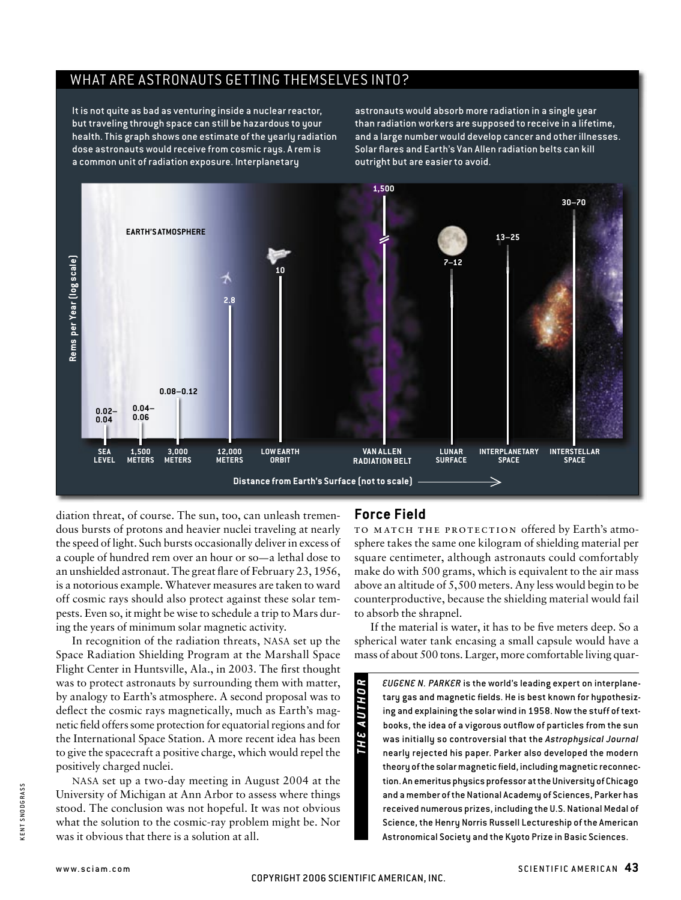### WHAT ARE ASTRONAUTS GETTING THEMSELVES INTO?

It is not quite as bad as venturing inside a nuclear reactor, but traveling through space can still be hazardous to your health. This graph shows one estimate of the yearly radiation dose astronauts would receive from cosmic rays. A rem is a common unit of radiation exposure. Interplanetary

astronauts would absorb more radiation in a single year than radiation workers are supposed to receive in a lifetime, and a large number would develop cancer and other illnesses. Solar flares and Earth's Van Allen radiation belts can kill outright but are easier to avoid.



diation threat, of course. The sun, too, can unleash tremendous bursts of protons and heavier nuclei traveling at nearly the speed of light. Such bursts occasionally deliver in excess of a couple of hundred rem over an hour or so—a lethal dose to an unshielded astronaut. The great flare of February 23, 1956, is a notorious example. Whatever measures are taken to ward off cosmic rays should also protect against these solar tempests. Even so, it might be wise to schedule a trip to Mars during the years of minimum solar magnetic activity.

In recognition of the radiation threats, NASA set up the Space Radiation Shielding Program at the Marshall Space Flight Center in Huntsville, Ala., in 2003. The first thought was to protect astronauts by surrounding them with matter, by analogy to Earth's atmosphere. A second proposal was to deflect the cosmic rays magnetically, much as Earth's magnetic field offers some protection for equatorial regions and for the International Space Station. A more recent idea has been to give the spacecraft a positive charge, which would repel the positively charged nuclei.

NASA set up a two-day meeting in August 2004 at the University of Michigan at Ann Arbor to assess where things stood. The conclusion was not hopeful. It was not obvious what the solution to the cosmic-ray problem might be. Nor was it obvious that there is a solution at all.

### **Force Field**

TO MATCH THE PROTECTION offered by Earth's atmosphere takes the same one kilogram of shielding material per square centimeter, although astronauts could comfortably make do with 500 grams, which is equivalent to the air mass above an altitude of 5,500 meters. Any less would begin to be counterproductive, because the shielding material would fail to absorb the shrapnel.

If the material is water, it has to be five meters deep. So a spherical water tank encasing a small capsule would have a mass of about 500 tons. Larger, more comfortable living quar-

*EUGENE N. PARKER* is the world's leading expert on interplanetary gas and magnetic fields. He is best known for hypothesizing and explaining the solar wind in 1958. Now the stuff of textbooks, the idea of a vigorous outflow of particles from the sun was initially so controversial that the *Astrophysical Journal* nearly rejected his paper. Parker also developed the modern theory of the solar magnetic field, including magnetic reconnection. An emeritus physics professor at the University of Chicago and a member of the National Academy of Sciences, Parker has received numerous prizes, including the U.S. National Medal of Science, the Henry Norris Russell Lectureship of the American Astronomical Society and the Kyoto Prize in Basic Sciences.

*T H E A U T H O R*

**HEAUTHOR**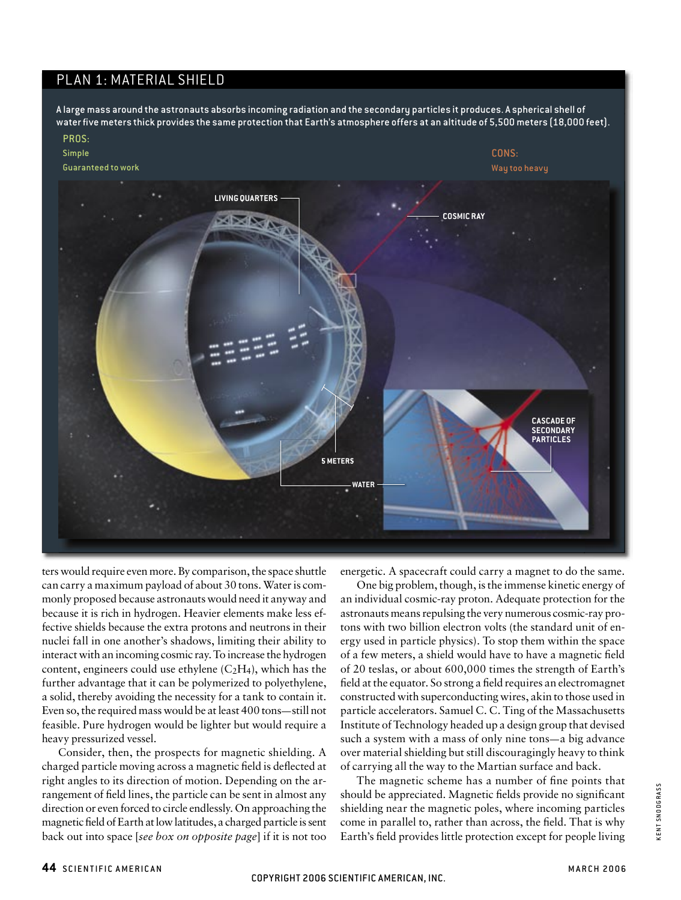### PLAN 1: MATERIAL SHIELD

A large mass around the astronauts absorbs incoming radiation and the secondary particles it produces. A spherical shell of water five meters thick provides the same protection that Earth's atmosphere offers at an altitude of 5,500 meters (18,000 feet).



ters would require even more. By comparison, the space shuttle can carry a maximum payload of about 30 tons. Water is commonly proposed because astronauts would need it anyway and because it is rich in hydrogen. Heavier elements make less effective shields because the extra protons and neutrons in their nuclei fall in one another's shadows, limiting their ability to interact with an incoming cosmic ray. To increase the hydrogen content, engineers could use ethylene  $(C_2H_4)$ , which has the further advantage that it can be polymerized to polyethylene, a solid, thereby avoiding the necessity for a tank to contain it. Even so, the required mass would be at least 400 tons—still not feasible. Pure hydrogen would be lighter but would require a heavy pressurized vessel.

Consider, then, the prospects for magnetic shielding. A charged particle moving across a magnetic field is deflected at right angles to its direction of motion. Depending on the arrangement of field lines, the particle can be sent in almost any direction or even forced to circle endlessly. On approaching the magnetic field of Earth at low latitudes, a charged particle is sent back out into space [*see box on opposite page*] if it is not too energetic. A spacecraft could carry a magnet to do the same.

One big problem, though, is the immense kinetic energy of an individual cosmic-ray proton. Adequate protection for the astronauts means repulsing the very numerous cosmic-ray protons with two billion electron volts (the standard unit of energy used in particle physics). To stop them within the space of a few meters, a shield would have to have a magnetic field of 20 teslas, or about 600,000 times the strength of Earth's field at the equator. So strong a field requires an electromagnet constructed with superconducting wires, akin to those used in particle accelerators. Samuel C. C. Ting of the Massachusetts Institute of Technology headed up a design group that devised such a system with a mass of only nine tons—a big advance over material shielding but still discouragingly heavy to think of carrying all the way to the Martian surface and back.

The magnetic scheme has a number of fine points that should be appreciated. Magnetic fields provide no significant shielding near the magnetic poles, where incoming particles come in parallel to, rather than across, the field. That is why Earth's field provides little protection except for people living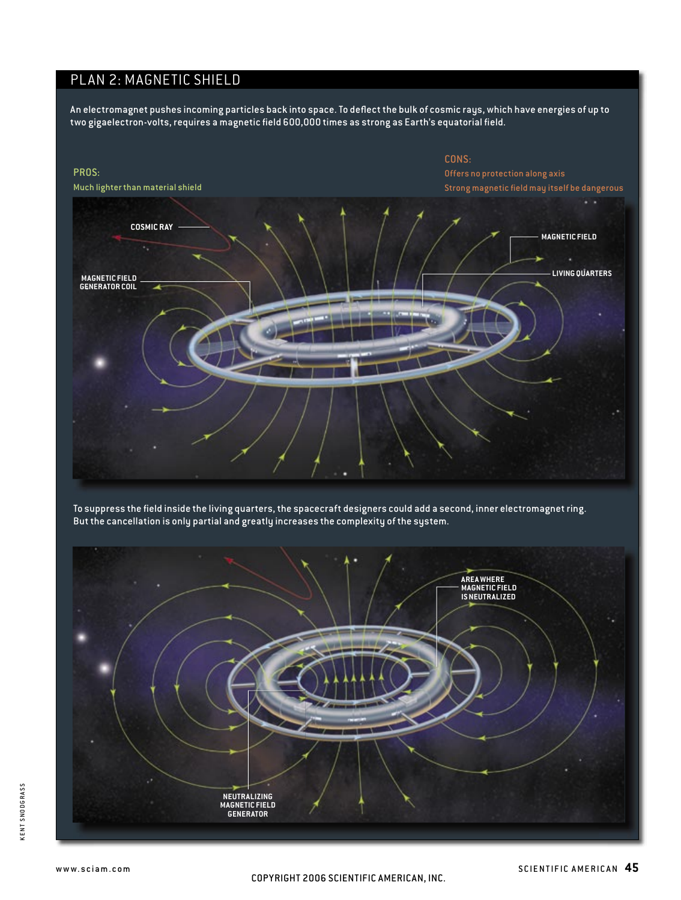### PLAN 2: MAGNETIC SHIELD

An electromagnet pushes incoming particles back into space. To deflect the bulk of cosmic rays, which have energies of up to two gigaelectron-volts, requires a magnetic field 600,000 times as strong as Earth's equatorial field.



To suppress the field inside the living quarters, the spacecraft designers could add a second, inner electromagnet ring. But the cancellation is only partial and greatly increases the complexity of the system.

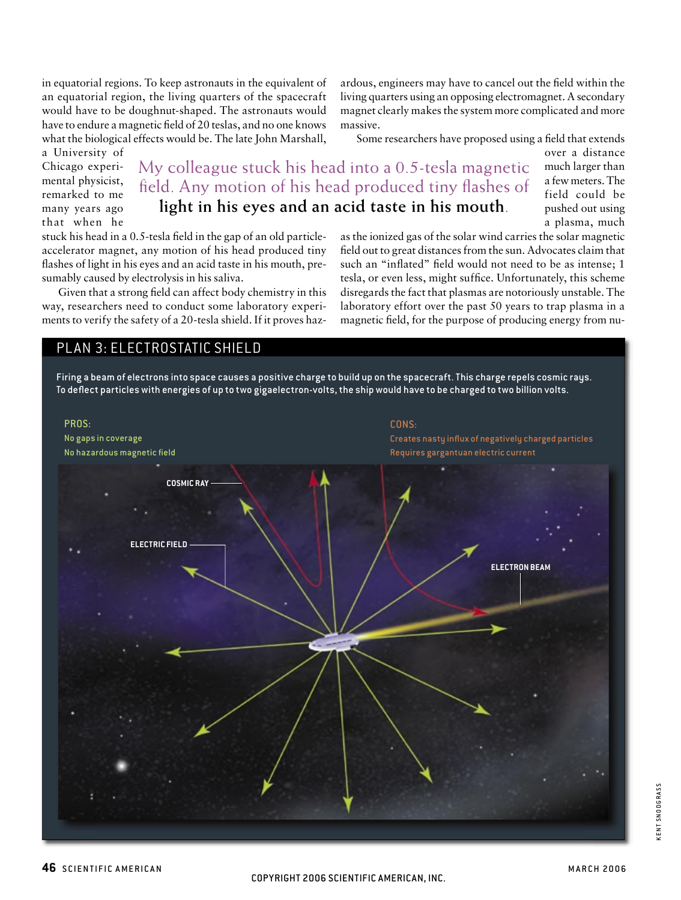in equatorial regions. To keep astronauts in the equivalent of an equatorial region, the living quarters of the spacecraft would have to be doughnut-shaped. The astronauts would have to endure a magnetic field of 20 teslas, and no one knows what the biological effects would be. The late John Marshall,

a University of Chicago experimental physicist, remarked to me many years ago that when he

# My colleague stuck his head into a 0.5-tesla magnetic field. Any motion of his head produced tiny flashes of **light in his eyes and an acid taste in his mouth**.

massive.

Some researchers have proposed using a field that extends over a distance much larger than a few meters. The field could be pushed out using a plasma, much

stuck his head in a 0.5-tesla field in the gap of an old particleaccelerator magnet, any motion of his head produced tiny flashes of light in his eyes and an acid taste in his mouth, presumably caused by electrolysis in his saliva.

Given that a strong field can affect body chemistry in this way, researchers need to conduct some laboratory experiments to verify the safety of a 20-tesla shield. If it proves hazas the ionized gas of the solar wind carries the solar magnetic field out to great distances from the sun. Advocates claim that such an "inflated" field would not need to be as intense: 1 tesla, or even less, might suffice. Unfortunately, this scheme disregards the fact that plasmas are notoriously unstable. The laboratory effort over the past 50 years to trap plasma in a magnetic field, for the purpose of producing energy from nu-

ardous, engineers may have to cancel out the field within the living quarters using an opposing electromagnet. A secondary magnet clearly makes the system more complicated and more

### PLAN 3: ELECTROSTATIC SHIELD

Firing a beam of electrons into space causes a positive charge to build up on the spacecraft. This charge repels cosmic rays. To defl ect particles with energies of up to two gigaelectron-volts, the ship would have to be charged to two billion volts.